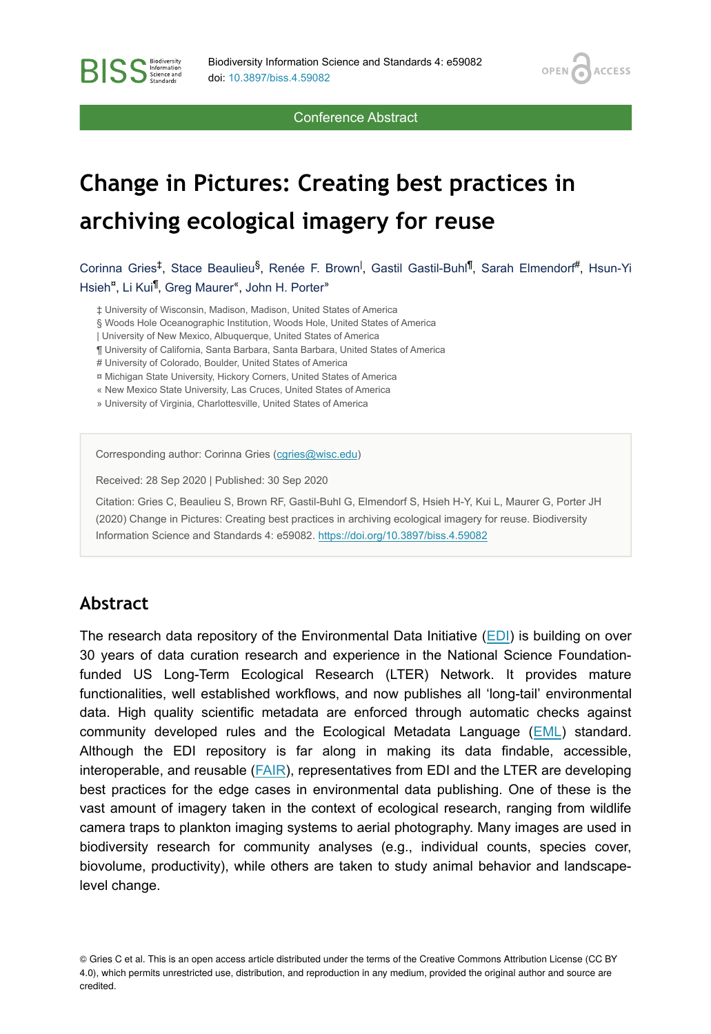OPEN /

**ACCESS** 

Conference Abstract

# **Change in Pictures: Creating best practices in archiving ecological imagery for reuse**

Corinna Gries<sup>‡</sup>, Stace Beaulieu<sup>§</sup>, Renée F. Brown<sup>I</sup>, Gastil Gastil-Buhl<sup>if</sup>, Sarah Elmendorf<sup>#</sup>, Hsun-Yi Hsieh<sup>¤</sup>, Li Kui<sup>¶</sup>, Greg Maurer<sup>«</sup>, John H. Porter<sup>»</sup>

‡ University of Wisconsin, Madison, Madison, United States of America

§ Woods Hole Oceanographic Institution, Woods Hole, United States of America

| University of New Mexico, Albuquerque, United States of America

¶ University of California, Santa Barbara, Santa Barbara, United States of America

# University of Colorado, Boulder, United States of America

¤ Michigan State University, Hickory Corners, United States of America

« New Mexico State University, Las Cruces, United States of America

» University of Virginia, Charlottesville, United States of America

Corresponding author: Corinna Gries ([cgries@wisc.edu](mailto:cgries@wisc.edu))

Received: 28 Sep 2020 | Published: 30 Sep 2020

Citation: Gries C, Beaulieu S, Brown RF, Gastil-Buhl G, Elmendorf S, Hsieh H-Y, Kui L, Maurer G, Porter JH (2020) Change in Pictures: Creating best practices in archiving ecological imagery for reuse. Biodiversity Information Science and Standards 4: e59082.<https://doi.org/10.3897/biss.4.59082>

#### **Abstract**

**BISS** Steince and

The research data repository of the Environmental Data Initiative ([EDI](https://environmentaldatainitiative.org/)) is building on over 30 years of data curation research and experience in the National Science Foundationfunded US Long-Term Ecological Research (LTER) Network. It provides mature functionalities, well established workflows, and now publishes all 'long-tail' environmental data. High quality scientific metadata are enforced through automatic checks against community developed rules and the Ecological Metadata Language ([EML](https://eml.ecoinformatics.org/)) standard. Although the EDI repository is far along in making its data findable, accessible, interoperable, and reusable ([FAIR\)](https://www.go-fair.org/fair-principles/), representatives from EDI and the LTER are developing best practices for the edge cases in environmental data publishing. One of these is the vast amount of imagery taken in the context of ecological research, ranging from wildlife camera traps to plankton imaging systems to aerial photography. Many images are used in biodiversity research for community analyses (e.g., individual counts, species cover, biovolume, productivity), while others are taken to study animal behavior and landscapelevel change.

© Gries C et al. This is an open access article distributed under the terms of the Creative Commons Attribution License (CC BY 4.0), which permits unrestricted use, distribution, and reproduction in any medium, provided the original author and source are credited.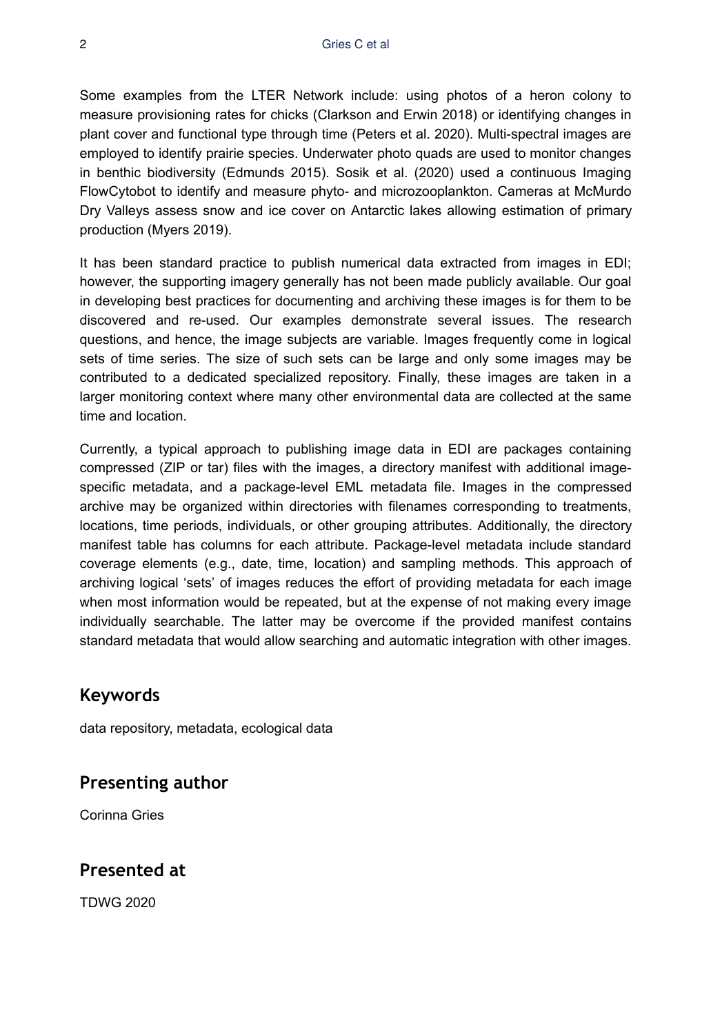Some examples from the LTER Network include: using photos of a heron colony to measure provisioning rates for chicks (Clarkson and Erwin 2018) or identifying changes in plant cover and functional type through time (Peters et al. 2020). Multi-spectral images are employed to identify prairie species. Underwater photo quads are used to monitor changes in benthic biodiversity (Edmunds 2015). Sosik et al. (2020) used a continuous Imaging FlowCytobot to identify and measure phyto- and microzooplankton. Cameras at McMurdo Dry Valleys assess snow and ice cover on Antarctic lakes allowing estimation of primary production (Myers 2019).

It has been standard practice to publish numerical data extracted from images in EDI; however, the supporting imagery generally has not been made publicly available. Our goal in developing best practices for documenting and archiving these images is for them to be discovered and re-used. Our examples demonstrate several issues. The research questions, and hence, the image subjects are variable. Images frequently come in logical sets of time series. The size of such sets can be large and only some images may be contributed to a dedicated specialized repository. Finally, these images are taken in a larger monitoring context where many other environmental data are collected at the same time and location.

Currently, a typical approach to publishing image data in EDI are packages containing compressed (ZIP or tar) files with the images, a directory manifest with additional imagespecific metadata, and a package-level EML metadata file. Images in the compressed archive may be organized within directories with filenames corresponding to treatments, locations, time periods, individuals, or other grouping attributes. Additionally, the directory manifest table has columns for each attribute. Package-level metadata include standard coverage elements (e.g., date, time, location) and sampling methods. This approach of archiving logical 'sets' of images reduces the effort of providing metadata for each image when most information would be repeated, but at the expense of not making every image individually searchable. The latter may be overcome if the provided manifest contains standard metadata that would allow searching and automatic integration with other images.

### **Keywords**

data repository, metadata, ecological data

### **Presenting author**

Corinna Gries

### **Presented at**

TDWG 2020